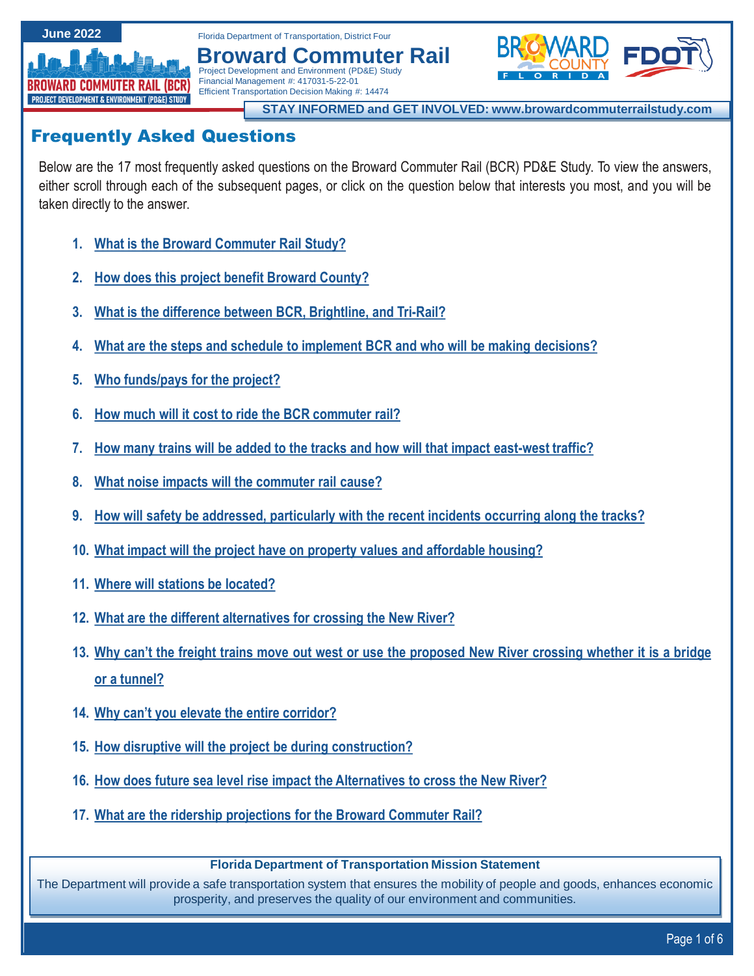**June 2022**

<span id="page-0-0"></span>

Florida Department of Transportation, District Four **Broward Commuter Rail**



**STAY INFORMED and GET INVOLVED: www.browardcommuterrailstudy.com**

# Frequently Asked Questions

Below are the 17 most frequently asked questions on the Broward Commuter Rail (BCR) PD&E Study. To view the answers, either scroll through each of the subsequent pages, or click on the question below that interests you most, and you will be taken directly to the answer.

- **1. What is the Broward [Commuter](#page-1-0) Rail Study?**
- **2. How does this project benefit [Broward](#page-1-0) County?**
- **3. What is the difference between BCR, [Brightline,](#page-1-0) and Tri-Rail?**

Project Development and Environment (PD&E) Study Financial Management #: 417031-5-22-01 Efficient Transportation Decision Making #: 14474

- **4. What are the steps and schedule to implement BCR and who will be making [decisions?](#page-1-0)**
- **5. Who [funds/pays](#page-2-0) for the project?**
- **6. How much will it cost to ride the BCR [commuter](#page-2-0) rail?**
- **7. How many trains will be added to the tracks and how will that impact [east-west](#page-2-0) traffic?**
- **8. What noise impacts will the [commuter](#page-2-0) rail cause?**
- **9. How will safety be addressed, [particularly](#page-3-0) with the recent incidents occurring along the tracks?**
- **10. What impact will the project have on property values and [affordable](#page-3-0) housing?**
- **11. Where will stations be [located?](#page-3-0)**
- **12. What are the different [alternatives](#page-4-0) for crossing the New River?**
- 13. Why can't the freight trains move out west or use the [proposed](#page-4-0) New River crossing whether it is a bridge **or a tunnel?**
- **14. Why can't you elevate the entire [corridor?](#page-5-0)**
- **15. How disruptive will the project be during [construction?](#page-5-0)**
- **16. How does future sea level rise impact the [Alternatives](#page-5-0) to cross the New River?**
- **17. What are the ridership [projections](#page-5-0) for the Broward Commuter Rail?**

# **Florida Department of Transportation Mission Statement**

The Department will provide a safe transportation system that ensures the mobility of people and goods, enhances economic prosperity, and preserves the quality of our environment and communities.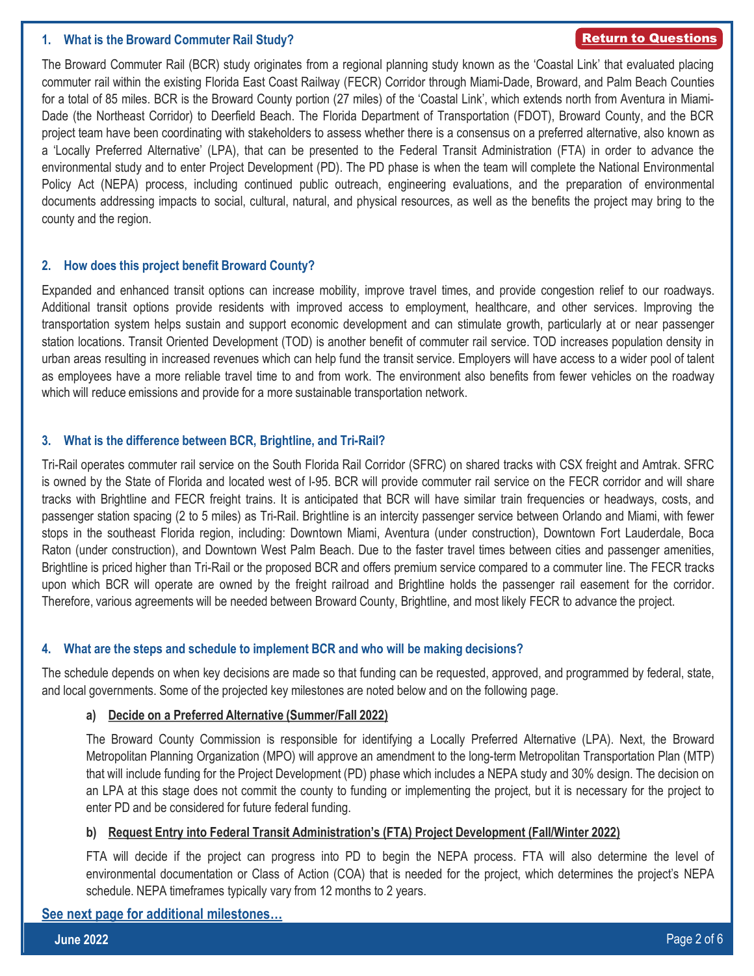## <span id="page-1-0"></span>**1. What is the Broward Commuter Rail Study?**

#### [Return to Questions](#page-0-0)

The Broward Commuter Rail (BCR) study originates from a regional planning study known as the 'Coastal Link' that evaluated placing commuter rail within the existing Florida East Coast Railway (FECR) Corridor through Miami-Dade, Broward, and Palm Beach Counties for a total of 85 miles. BCR is the Broward County portion (27 miles) of the 'Coastal Link', which extends north from Aventura in Miami-Dade (the Northeast Corridor) to Deerfield Beach. The Florida Department of Transportation (FDOT), Broward County, and the BCR project team have been coordinating with stakeholders to assess whether there is a consensus on a preferred alternative, also known as a 'Locally Preferred Alternative' (LPA), that can be presented to the Federal Transit Administration (FTA) in order to advance the environmental study and to enter Project Development (PD). The PD phase is when the team will complete the National Environmental Policy Act (NEPA) process, including continued public outreach, engineering evaluations, and the preparation of environmental documents addressing impacts to social, cultural, natural, and physical resources, as well as the benefits the project may bring to the county and the region.

#### **2. How does this project benefit Broward County?**

Expanded and enhanced transit options can increase mobility, improve travel times, and provide congestion relief to our roadways. Additional transit options provide residents with improved access to employment, healthcare, and other services. Improving the transportation system helps sustain and support economic development and can stimulate growth, particularly at or near passenger station locations. Transit Oriented Development (TOD) is another benefit of commuter rail service. TOD increases population density in urban areas resulting in increased revenues which can help fund the transit service. Employers will have access to a wider pool of talent as employees have a more reliable travel time to and from work. The environment also benefits from fewer vehicles on the roadway which will reduce emissions and provide for a more sustainable transportation network.

## **3. What is the difference between BCR, Brightline, and Tri-Rail?**

Tri-Rail operates commuter rail service on the South Florida Rail Corridor (SFRC) on shared tracks with CSX freight and Amtrak. SFRC is owned by the State of Florida and located west of I-95. BCR will provide commuter rail service on the FECR corridor and will share tracks with Brightline and FECR freight trains. It is anticipated that BCR will have similar train frequencies or headways, costs, and passenger station spacing (2 to 5 miles) as Tri-Rail. Brightline is an intercity passenger service between Orlando and Miami, with fewer stops in the southeast Florida region, including: Downtown Miami, Aventura (under construction), Downtown Fort Lauderdale, Boca Raton (under construction), and Downtown West Palm Beach. Due to the faster travel times between cities and passenger amenities, Brightline is priced higher than Tri-Rail or the proposed BCR and offers premium service compared to a commuter line. The FECR tracks upon which BCR will operate are owned by the freight railroad and Brightline holds the passenger rail easement for the corridor. Therefore, various agreements will be needed between Broward County, Brightline, and most likely FECR to advance the project.

## **4. What are the steps and schedule to implement BCR and who will be making decisions?**

The schedule depends on when key decisions are made so that funding can be requested, approved, and programmed by federal, state, and local governments. Some of the projected key milestones are noted below and on the following page.

#### **a) Decide on a Preferred Alternative (Summer/Fall 2022)**

The Broward County Commission is responsible for identifying a Locally Preferred Alternative (LPA). Next, the Broward Metropolitan Planning Organization (MPO) will approve an amendment to the long-term Metropolitan Transportation Plan (MTP) that will include funding for the Project Development (PD) phase which includes a NEPA study and 30% design. The decision on an LPA at this stage does not commit the county to funding or implementing the project, but it is necessary for the project to enter PD and be considered for future federal funding.

## **b) Request Entry into Federal Transit Administration's (FTA) Project Development (Fall/Winter 2022)**

FTA will decide if the project can progress into PD to begin the NEPA process. FTA will also determine the level of environmental documentation or Class of Action (COA) that is needed for the project, which determines the project's NEPA schedule. NEPA timeframes typically vary from 12 months to 2 years.

# **See next page for additional [milestones](#page-2-0)…**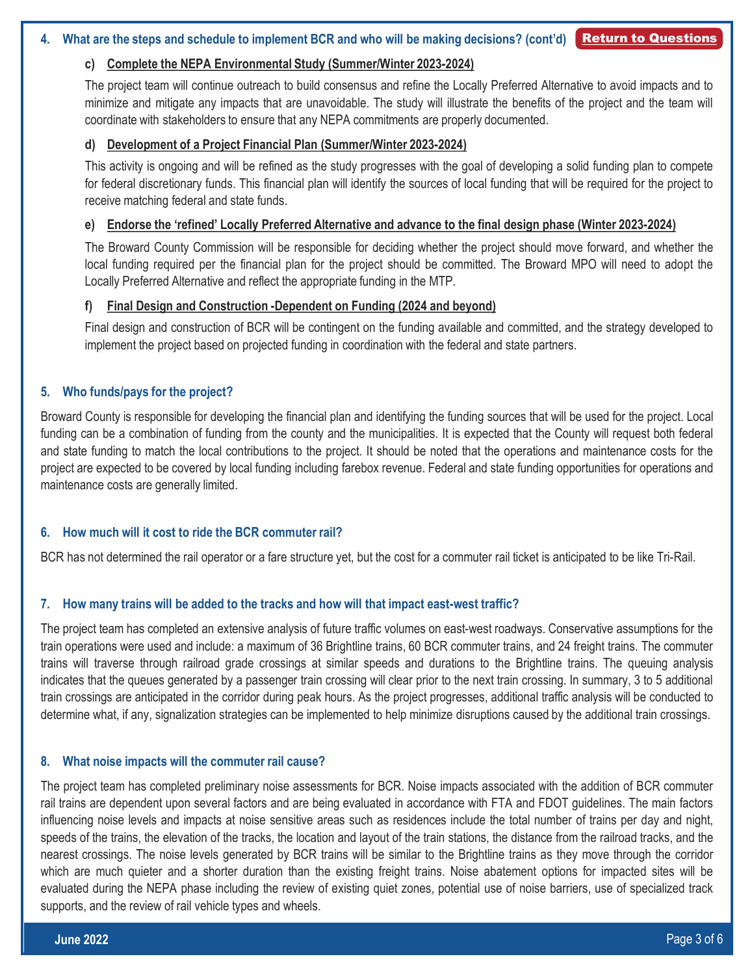## <span id="page-2-0"></span>**c) Complete the NEPA Environmental Study (Summer/Winter 2023-2024)**

The project team will continue outreach to build consensus and refine the Locally Preferred Alternative to avoid impacts and to minimize and mitigate any impacts that are unavoidable. The study will illustrate the benefits of the project and the team will coordinate with stakeholders to ensure that any NEPA commitments are properly documented.

#### **d) Development of a Project Financial Plan (Summer/Winter 2023-2024)**

This activity is ongoing and will be refined as the study progresses with the goal of developing a solid funding plan to compete for federal discretionary funds. This financial plan will identify the sources of local funding that will be required for the project to receive matching federal and state funds.

#### **e) Endorse the 'refined' Locally Preferred Alternative and advance to the final design phase (Winter 2023-2024)**

The Broward County Commission will be responsible for deciding whether the project should move forward, and whether the local funding required per the financial plan for the project should be committed. The Broward MPO will need to adopt the Locally Preferred Alternative and reflect the appropriate funding in the MTP.

#### **f) Final Design and Construction -Dependent on Funding (2024 and beyond)**

Final design and construction of BCR will be contingent on the funding available and committed, and the strategy developed to implement the project based on projected funding in coordination with the federal and state partners.

## **5. Who funds/pays for the project?**

Broward County is responsible for developing the financial plan and identifying the funding sources that will be used for the project. Local funding can be a combination of funding from the county and the municipalities. It is expected that the County will request both federal and state funding to match the local contributions to the project. It should be noted that the operations and maintenance costs for the project are expected to be covered by local funding including farebox revenue. Federal and state funding opportunities for operations and maintenance costs are generally limited.

## **6. How much will it cost to ride the BCR commuter rail?**

BCR has not determined the rail operator or a fare structure yet, but the cost for a commuter rail ticket is anticipated to be like Tri-Rail.

## **7. How many trains will be added to the tracks and how will that impact east-west traffic?**

The project team has completed an extensive analysis of future traffic volumes on east-west roadways. Conservative assumptions for the train operations were used and include: a maximum of 36 Brightline trains, 60 BCR commuter trains, and 24 freight trains. The commuter trains will traverse through railroad grade crossings at similar speeds and durations to the Brightline trains. The queuing analysis indicates that the queues generated by a passenger train crossing will clear prior to the next train crossing. In summary, 3 to 5 additional train crossings are anticipated in the corridor during peak hours. As the project progresses, additional traffic analysis will be conducted to determine what, if any, signalization strategies can be implemented to help minimize disruptions caused by the additional train crossings.

#### **8. What noise impacts will the commuter rail cause?**

The project team has completed preliminary noise assessments for BCR. Noise impacts associated with the addition of BCR commuter rail trains are dependent upon several factors and are being evaluated in accordance with FTA and FDOT guidelines. The main factors influencing noise levels and impacts at noise sensitive areas such as residences include the total number of trains per day and night, speeds of the trains, the elevation of the tracks, the location and layout of the train stations, the distance from the railroad tracks, and the nearest crossings. The noise levels generated by BCR trains will be similar to the Brightline trains as they move through the corridor which are much quieter and a shorter duration than the existing freight trains. Noise abatement options for impacted sites will be evaluated during the NEPA phase including the review of existing quiet zones, potential use of noise barriers, use of specialized track supports, and the review of rail vehicle types and wheels.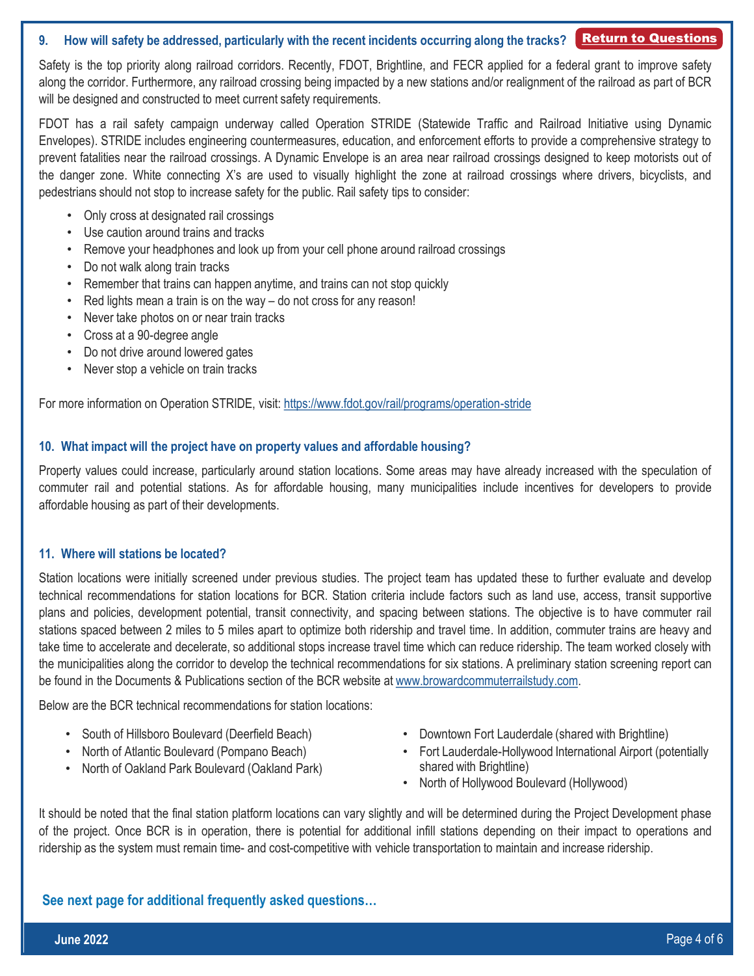# <span id="page-3-0"></span>**9. How will safety be addressed, particularly with the recent incidents occurring along the tracks?** [Return to Questions](#page-0-0)

Safety is the top priority along railroad corridors. Recently, FDOT, Brightline, and FECR applied for a federal grant to improve safety along the corridor. Furthermore, any railroad crossing being impacted by a new stations and/or realignment of the railroad as part of BCR will be designed and constructed to meet current safety requirements.

FDOT has a rail safety campaign underway called Operation STRIDE (Statewide Traffic and Railroad Initiative using Dynamic Envelopes). STRIDE includes engineering countermeasures, education, and enforcement efforts to provide a comprehensive strategy to prevent fatalities near the railroad crossings. A Dynamic Envelope is an area near railroad crossings designed to keep motorists out of the danger zone. White connecting X's are used to visually highlight the zone at railroad crossings where drivers, bicyclists, and pedestrians should not stop to increase safety for the public. Rail safety tips to consider:

- Only cross at designated rail crossings
- Use caution around trains and tracks
- Remove your headphones and look up from your cell phone around railroad crossings
- Do not walk along train tracks
- Remember that trains can happen anytime, and trains can not stop quickly
- Red lights mean a train is on the way do not cross for any reason!
- Never take photos on or near train tracks
- Cross at a 90-degree angle
- Do not drive around lowered gates
- Never stop a vehicle on train tracks

For more information on Operation STRIDE, visit: <https://www.fdot.gov/rail/programs/operation-stride>

## **10. What impact will the project have on property values and affordable housing?**

Property values could increase, particularly around station locations. Some areas may have already increased with the speculation of commuter rail and potential stations. As for affordable housing, many municipalities include incentives for developers to provide affordable housing as part of their developments.

## **11. Where will stations be located?**

Station locations were initially screened under previous studies. The project team has updated these to further evaluate and develop technical recommendations for station locations for BCR. Station criteria include factors such as land use, access, transit supportive plans and policies, development potential, transit connectivity, and spacing between stations. The objective is to have commuter rail stations spaced between 2 miles to 5 miles apart to optimize both ridership and travel time. In addition, commuter trains are heavy and take time to accelerate and decelerate, so additional stops increase travel time which can reduce ridership. The team worked closely with the municipalities along the corridor to develop the technical recommendations for six stations. A preliminary station screening report can be found in the Documents & Publications section of the BCR website at [www.browardcommuterrailstudy.com.](http://www.browardcommuterrailstudy.com/)

Below are the BCR technical recommendations for station locations:

- South of Hillsboro Boulevard (Deerfield Beach)
- North of Atlantic Boulevard (Pompano Beach)
- North of Oakland Park Boulevard (Oakland Park)
- Downtown Fort Lauderdale (shared with Brightline)
- Fort Lauderdale-Hollywood International Airport (potentially shared with Brightline)
- North of Hollywood Boulevard (Hollywood)

It should be noted that the final station platform locations can vary slightly and will be determined during the Project Development phase of the project. Once BCR is in operation, there is potential for additional infill stations depending on their impact to operations and ridership as the system must remain time- and cost-competitive with vehicle transportation to maintain and increase ridership.

**See next page for additional frequently asked questions…**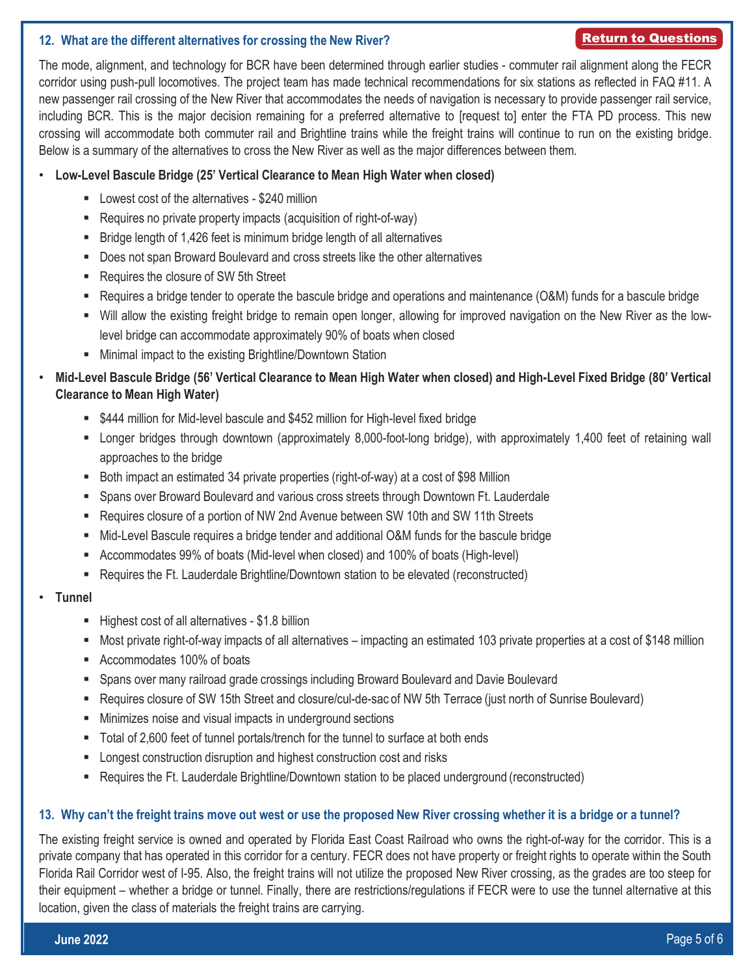# <span id="page-4-0"></span>**12. What are the different alternatives for crossing the New River?**

## [Return to Questions](#page-0-0)

The mode, alignment, and technology for BCR have been determined through earlier studies - commuter rail alignment along the FECR corridor using push-pull locomotives. The project team has made technical recommendations for six stations as reflected in FAQ #11. A new passenger rail crossing of the New River that accommodates the needs of navigation is necessary to provide passenger rail service, including BCR. This is the major decision remaining for a preferred alternative to [request to] enter the FTA PD process. This new crossing will accommodate both commuter rail and Brightline trains while the freight trains will continue to run on the existing bridge. Below is a summary of the alternatives to cross the New River as well as the major differences between them.

# • **Low-Level Bascule Bridge (25' Vertical Clearance to Mean High Water when closed)**

- Lowest cost of the alternatives \$240 million
- Requires no private property impacts (acquisition of right-of-way)
- Bridge length of 1,426 feet is minimum bridge length of all alternatives
- Does not span Broward Boulevard and cross streets like the other alternatives
- Requires the closure of SW 5th Street
- Requires a bridge tender to operate the bascule bridge and operations and maintenance (O&M) funds for a bascule bridge
- Will allow the existing freight bridge to remain open longer, allowing for improved navigation on the New River as the lowlevel bridge can accommodate approximately 90% of boats when closed
- Minimal impact to the existing Brightline/Downtown Station
- Mid-Level Bascule Bridge (56' Vertical Clearance to Mean High Water when closed) and High-Level Fixed Bridge (80' Vertical **Clearance to Mean High Water)**
	- \$444 million for Mid-level bascule and \$452 million for High-level fixed bridge
	- Longer bridges through downtown (approximately 8,000-foot-long bridge), with approximately 1,400 feet of retaining wall approaches to the bridge
	- Both impact an estimated 34 private properties (right-of-way) at a cost of \$98 Million
	- Spans over Broward Boulevard and various cross streets through Downtown Ft. Lauderdale
	- Requires closure of a portion of NW 2nd Avenue between SW 10th and SW 11th Streets
	- Mid-Level Bascule requires a bridge tender and additional O&M funds for the bascule bridge
	- Accommodates 99% of boats (Mid-level when closed) and 100% of boats (High-level)
	- Requires the Ft. Lauderdale Brightline/Downtown station to be elevated (reconstructed)
- **Tunnel**
	- Highest cost of all alternatives \$1.8 billion
	- Most private right-of-way impacts of all alternatives impacting an estimated 103 private properties at a cost of \$148 million
	- Accommodates 100% of boats
	- Spans over many railroad grade crossings including Broward Boulevard and Davie Boulevard
	- Requires closure of SW 15th Street and closure/cul-de-sac of NW 5th Terrace (just north of Sunrise Boulevard)
	- Minimizes noise and visual impacts in underground sections
	- Total of 2,600 feet of tunnel portals/trench for the tunnel to surface at both ends
	- Longest construction disruption and highest construction cost and risks
	- Requires the Ft. Lauderdale Brightline/Downtown station to be placed underground (reconstructed)

## 13. Why can't the freight trains move out west or use the proposed New River crossing whether it is a bridge or a tunnel?

The existing freight service is owned and operated by Florida East Coast Railroad who owns the right-of-way for the corridor. This is a private company that has operated in this corridor for a century. FECR does not have property or freight rights to operate within the South Florida Rail Corridor west of I-95. Also, the freight trains will not utilize the proposed New River crossing, as the grades are too steep for their equipment – whether a bridge or tunnel. Finally, there are restrictions/regulations if FECR were to use the tunnel alternative at this location, given the class of materials the freight trains are carrying.